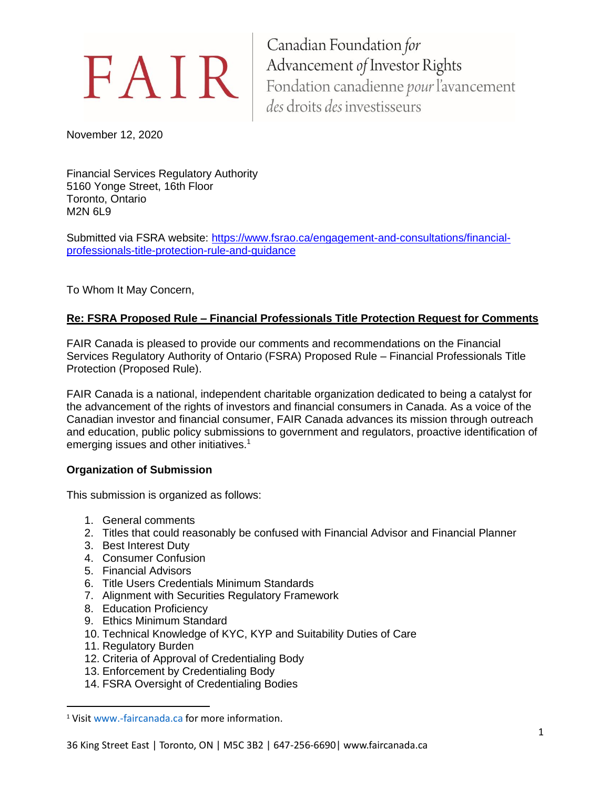November 12, 2020

Financial Services Regulatory Authority 5160 Yonge Street, 16th Floor Toronto, Ontario M2N 6L9

Submitted via FSRA website: [https://www.fsrao.ca/engagement-and-consultations/financial](https://www.fsrao.ca/engagement-and-consultations/financial-professionals-title-protection-rule-and-guidance)[professionals-title-protection-rule-and-guidance](https://www.fsrao.ca/engagement-and-consultations/financial-professionals-title-protection-rule-and-guidance)

To Whom It May Concern,

# **Re: FSRA Proposed Rule – Financial Professionals Title Protection Request for Comments**

FAIR Canada is pleased to provide our comments and recommendations on the Financial Services Regulatory Authority of Ontario (FSRA) Proposed Rule – Financial Professionals Title Protection (Proposed Rule).

FAIR Canada is a national, independent charitable organization dedicated to being a catalyst for the advancement of the rights of investors and financial consumers in Canada. As a voice of the Canadian investor and financial consumer, FAIR Canada advances its mission through outreach and education, public policy submissions to government and regulators, proactive identification of emerging issues and other initiatives.<sup>1</sup>

# **Organization of Submission**

This submission is organized as follows:

- 1. General comments
- 2. Titles that could reasonably be confused with Financial Advisor and Financial Planner
- 3. Best Interest Duty
- 4. Consumer Confusion
- 5. Financial Advisors
- 6. Title Users Credentials Minimum Standards
- 7. Alignment with Securities Regulatory Framework
- 8. Education Proficiency
- 9. Ethics Minimum Standard
- 10. Technical Knowledge of KYC, KYP and Suitability Duties of Care
- 11. Regulatory Burden
- 12. Criteria of Approval of Credentialing Body
- 13. Enforcement by Credentialing Body
- 14. FSRA Oversight of Credentialing Bodies

<sup>&</sup>lt;sup>1</sup> Visit www.-faircanada.ca for more information.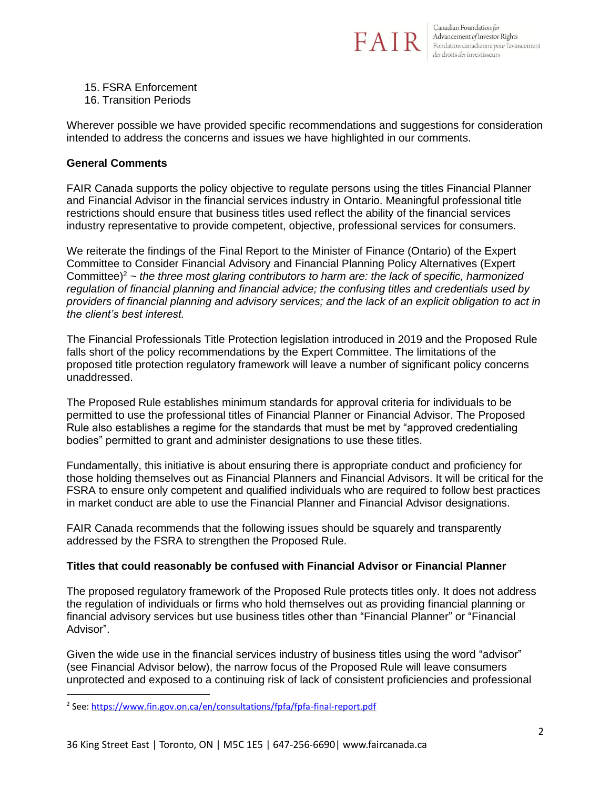

15. FSRA Enforcement

16. Transition Periods

Wherever possible we have provided specific recommendations and suggestions for consideration intended to address the concerns and issues we have highlighted in our comments.

# **General Comments**

FAIR Canada supports the policy objective to regulate persons using the titles Financial Planner and Financial Advisor in the financial services industry in Ontario. Meaningful professional title restrictions should ensure that business titles used reflect the ability of the financial services industry representative to provide competent, objective, professional services for consumers.

We reiterate the findings of the Final Report to the Minister of Finance (Ontario) of the Expert Committee to Consider Financial Advisory and Financial Planning Policy Alternatives (Expert Committee)<sup>2</sup> *~ the three most glaring contributors to harm are: the lack of specific, harmonized regulation of financial planning and financial advice; the confusing titles and credentials used by providers of financial planning and advisory services; and the lack of an explicit obligation to act in the client's best interest.*

The Financial Professionals Title Protection legislation introduced in 2019 and the Proposed Rule falls short of the policy recommendations by the Expert Committee. The limitations of the proposed title protection regulatory framework will leave a number of significant policy concerns unaddressed.

The Proposed Rule establishes minimum standards for approval criteria for individuals to be permitted to use the professional titles of Financial Planner or Financial Advisor. The Proposed Rule also establishes a regime for the standards that must be met by "approved credentialing bodies" permitted to grant and administer designations to use these titles.

Fundamentally, this initiative is about ensuring there is appropriate conduct and proficiency for those holding themselves out as Financial Planners and Financial Advisors. It will be critical for the FSRA to ensure only competent and qualified individuals who are required to follow best practices in market conduct are able to use the Financial Planner and Financial Advisor designations.

FAIR Canada recommends that the following issues should be squarely and transparently addressed by the FSRA to strengthen the Proposed Rule.

# **Titles that could reasonably be confused with Financial Advisor or Financial Planner**

The proposed regulatory framework of the Proposed Rule protects titles only. It does not address the regulation of individuals or firms who hold themselves out as providing financial planning or financial advisory services but use business titles other than "Financial Planner" or "Financial Advisor".

Given the wide use in the financial services industry of business titles using the word "advisor" (see Financial Advisor below), the narrow focus of the Proposed Rule will leave consumers unprotected and exposed to a continuing risk of lack of consistent proficiencies and professional

<sup>&</sup>lt;sup>2</sup> See: <u><https://www.fin.gov.on.ca/en/consultations/fpfa/fpfa-final-report.pdf></u>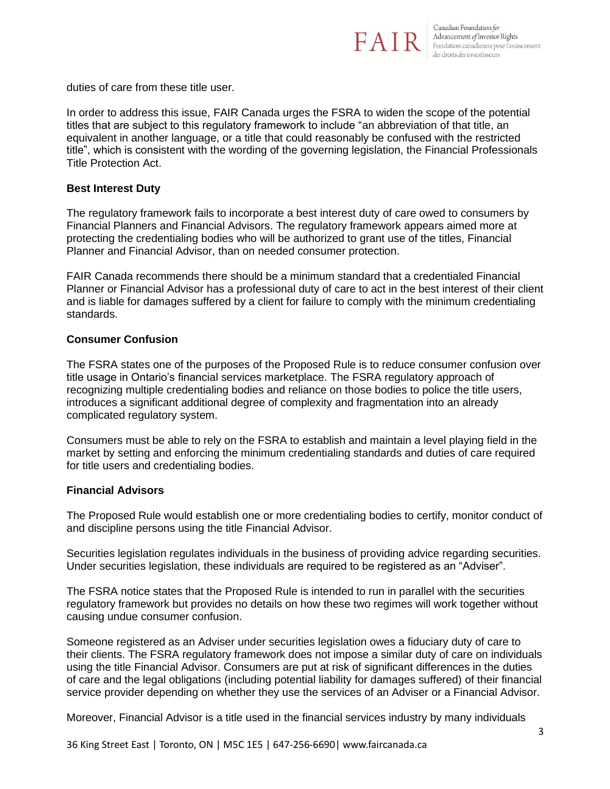

duties of care from these title user.

In order to address this issue, FAIR Canada urges the FSRA to widen the scope of the potential titles that are subject to this regulatory framework to include "an abbreviation of that title, an equivalent in another language, or a title that could reasonably be confused with the restricted title", which is consistent with the wording of the governing legislation, the Financial Professionals Title Protection Act.

## **Best Interest Duty**

The regulatory framework fails to incorporate a best interest duty of care owed to consumers by Financial Planners and Financial Advisors. The regulatory framework appears aimed more at protecting the credentialing bodies who will be authorized to grant use of the titles, Financial Planner and Financial Advisor, than on needed consumer protection.

FAIR Canada recommends there should be a minimum standard that a credentialed Financial Planner or Financial Advisor has a professional duty of care to act in the best interest of their client and is liable for damages suffered by a client for failure to comply with the minimum credentialing standards.

## **Consumer Confusion**

The FSRA states one of the purposes of the Proposed Rule is to reduce consumer confusion over title usage in Ontario's financial services marketplace. The FSRA regulatory approach of recognizing multiple credentialing bodies and reliance on those bodies to police the title users, introduces a significant additional degree of complexity and fragmentation into an already complicated regulatory system.

Consumers must be able to rely on the FSRA to establish and maintain a level playing field in the market by setting and enforcing the minimum credentialing standards and duties of care required for title users and credentialing bodies.

# **Financial Advisors**

The Proposed Rule would establish one or more credentialing bodies to certify, monitor conduct of and discipline persons using the title Financial Advisor.

Securities legislation regulates individuals in the business of providing advice regarding securities. Under securities legislation, these individuals are required to be registered as an "Adviser".

The FSRA notice states that the Proposed Rule is intended to run in parallel with the securities regulatory framework but provides no details on how these two regimes will work together without causing undue consumer confusion.

Someone registered as an Adviser under securities legislation owes a fiduciary duty of care to their clients. The FSRA regulatory framework does not impose a similar duty of care on individuals using the title Financial Advisor. Consumers are put at risk of significant differences in the duties of care and the legal obligations (including potential liability for damages suffered) of their financial service provider depending on whether they use the services of an Adviser or a Financial Advisor.

Moreover, Financial Advisor is a title used in the financial services industry by many individuals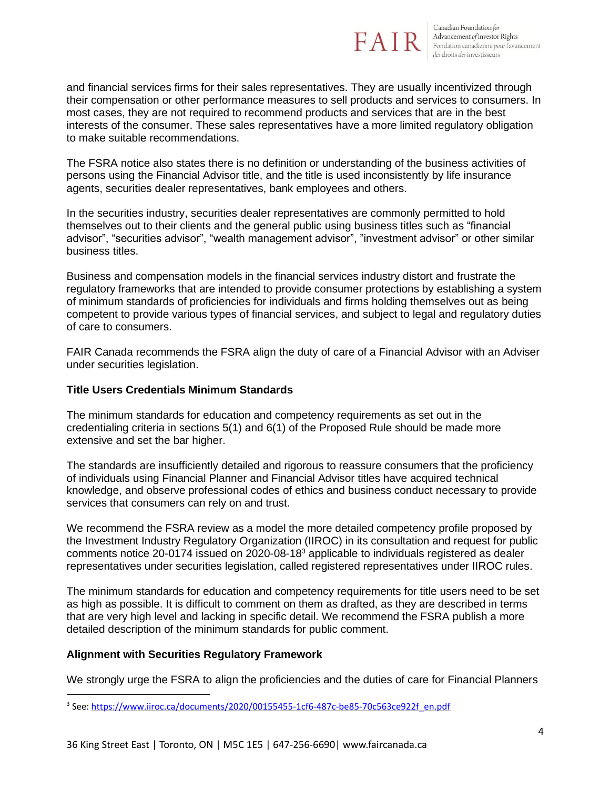

and financial services firms for their sales representatives. They are usually incentivized through their compensation or other performance measures to sell products and services to consumers. In most cases, they are not required to recommend products and services that are in the best interests of the consumer. These sales representatives have a more limited regulatory obligation to make suitable recommendations.

The FSRA notice also states there is no definition or understanding of the business activities of persons using the Financial Advisor title, and the title is used inconsistently by life insurance agents, securities dealer representatives, bank employees and others.

In the securities industry, securities dealer representatives are commonly permitted to hold themselves out to their clients and the general public using business titles such as "financial advisor", "securities advisor", "wealth management advisor", "investment advisor" or other similar business titles.

Business and compensation models in the financial services industry distort and frustrate the regulatory frameworks that are intended to provide consumer protections by establishing a system of minimum standards of proficiencies for individuals and firms holding themselves out as being competent to provide various types of financial services, and subject to legal and regulatory duties of care to consumers.

FAIR Canada recommends the FSRA align the duty of care of a Financial Advisor with an Adviser under securities legislation.

## **Title Users Credentials Minimum Standards**

The minimum standards for education and competency requirements as set out in the credentialing criteria in sections 5(1) and 6(1) of the Proposed Rule should be made more extensive and set the bar higher.

The standards are insufficiently detailed and rigorous to reassure consumers that the proficiency of individuals using Financial Planner and Financial Advisor titles have acquired technical knowledge, and observe professional codes of ethics and business conduct necessary to provide services that consumers can rely on and trust.

We recommend the FSRA review as a model the more detailed competency profile proposed by the Investment Industry Regulatory Organization (IIROC) in its consultation and request for public comments notice 20-0174 issued on 2020-08-18<sup>3</sup> applicable to individuals registered as dealer representatives under securities legislation, called registered representatives under IIROC rules.

The minimum standards for education and competency requirements for title users need to be set as high as possible. It is difficult to comment on them as drafted, as they are described in terms that are very high level and lacking in specific detail. We recommend the FSRA publish a more detailed description of the minimum standards for public comment.

# **Alignment with Securities Regulatory Framework**

We strongly urge the FSRA to align the proficiencies and the duties of care for Financial Planners

<sup>&</sup>lt;sup>3</sup> See: <u>[https://www.iiroc.ca/documents/2020/00155455-1cf6-487c-be85-70c563ce922f\\_en.pdf](https://www.iiroc.ca/documents/2020/00155455-1cf6-487c-be85-70c563ce922f_en.pdf)</u>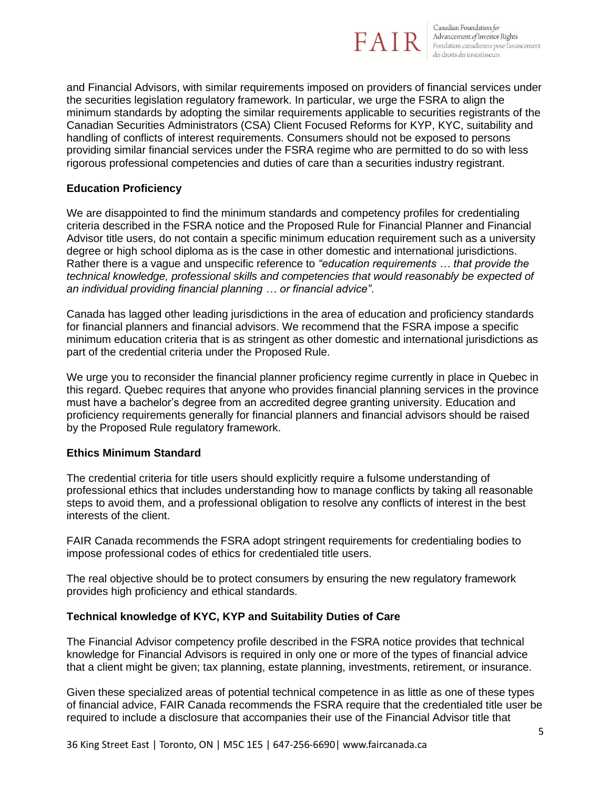

and Financial Advisors, with similar requirements imposed on providers of financial services under the securities legislation regulatory framework. In particular, we urge the FSRA to align the minimum standards by adopting the similar requirements applicable to securities registrants of the Canadian Securities Administrators (CSA) Client Focused Reforms for KYP, KYC, suitability and handling of conflicts of interest requirements. Consumers should not be exposed to persons providing similar financial services under the FSRA regime who are permitted to do so with less rigorous professional competencies and duties of care than a securities industry registrant.

## **Education Proficiency**

We are disappointed to find the minimum standards and competency profiles for credentialing criteria described in the FSRA notice and the Proposed Rule for Financial Planner and Financial Advisor title users, do not contain a specific minimum education requirement such as a university degree or high school diploma as is the case in other domestic and international jurisdictions. Rather there is a vague and unspecific reference to *"education requirements … that provide the technical knowledge, professional skills and competencies that would reasonably be expected of an individual providing financial planning … or financial advice"*.

Canada has lagged other leading jurisdictions in the area of education and proficiency standards for financial planners and financial advisors. We recommend that the FSRA impose a specific minimum education criteria that is as stringent as other domestic and international jurisdictions as part of the credential criteria under the Proposed Rule.

We urge you to reconsider the financial planner proficiency regime currently in place in Quebec in this regard. Quebec requires that anyone who provides financial planning services in the province must have a bachelor's degree from an accredited degree granting university. Education and proficiency requirements generally for financial planners and financial advisors should be raised by the Proposed Rule regulatory framework.

#### **Ethics Minimum Standard**

The credential criteria for title users should explicitly require a fulsome understanding of professional ethics that includes understanding how to manage conflicts by taking all reasonable steps to avoid them, and a professional obligation to resolve any conflicts of interest in the best interests of the client.

FAIR Canada recommends the FSRA adopt stringent requirements for credentialing bodies to impose professional codes of ethics for credentialed title users.

The real objective should be to protect consumers by ensuring the new regulatory framework provides high proficiency and ethical standards.

#### **Technical knowledge of KYC, KYP and Suitability Duties of Care**

The Financial Advisor competency profile described in the FSRA notice provides that technical knowledge for Financial Advisors is required in only one or more of the types of financial advice that a client might be given; tax planning, estate planning, investments, retirement, or insurance.

Given these specialized areas of potential technical competence in as little as one of these types of financial advice, FAIR Canada recommends the FSRA require that the credentialed title user be required to include a disclosure that accompanies their use of the Financial Advisor title that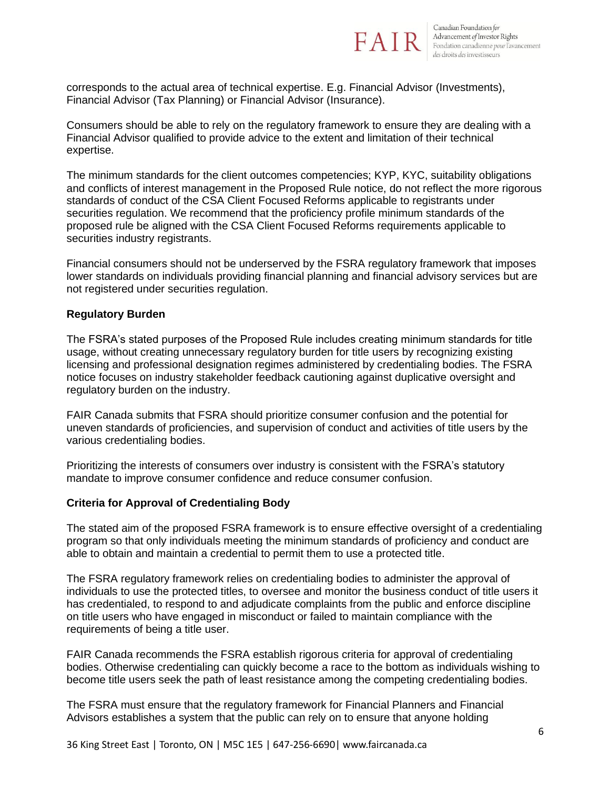

corresponds to the actual area of technical expertise. E.g. Financial Advisor (Investments), Financial Advisor (Tax Planning) or Financial Advisor (Insurance).

Consumers should be able to rely on the regulatory framework to ensure they are dealing with a Financial Advisor qualified to provide advice to the extent and limitation of their technical expertise.

The minimum standards for the client outcomes competencies; KYP, KYC, suitability obligations and conflicts of interest management in the Proposed Rule notice, do not reflect the more rigorous standards of conduct of the CSA Client Focused Reforms applicable to registrants under securities regulation. We recommend that the proficiency profile minimum standards of the proposed rule be aligned with the CSA Client Focused Reforms requirements applicable to securities industry registrants.

Financial consumers should not be underserved by the FSRA regulatory framework that imposes lower standards on individuals providing financial planning and financial advisory services but are not registered under securities regulation.

## **Regulatory Burden**

The FSRA's stated purposes of the Proposed Rule includes creating minimum standards for title usage, without creating unnecessary regulatory burden for title users by recognizing existing licensing and professional designation regimes administered by credentialing bodies. The FSRA notice focuses on industry stakeholder feedback cautioning against duplicative oversight and regulatory burden on the industry.

FAIR Canada submits that FSRA should prioritize consumer confusion and the potential for uneven standards of proficiencies, and supervision of conduct and activities of title users by the various credentialing bodies.

Prioritizing the interests of consumers over industry is consistent with the FSRA's statutory mandate to improve consumer confidence and reduce consumer confusion.

#### **Criteria for Approval of Credentialing Body**

The stated aim of the proposed FSRA framework is to ensure effective oversight of a credentialing program so that only individuals meeting the minimum standards of proficiency and conduct are able to obtain and maintain a credential to permit them to use a protected title.

The FSRA regulatory framework relies on credentialing bodies to administer the approval of individuals to use the protected titles, to oversee and monitor the business conduct of title users it has credentialed, to respond to and adjudicate complaints from the public and enforce discipline on title users who have engaged in misconduct or failed to maintain compliance with the requirements of being a title user.

FAIR Canada recommends the FSRA establish rigorous criteria for approval of credentialing bodies. Otherwise credentialing can quickly become a race to the bottom as individuals wishing to become title users seek the path of least resistance among the competing credentialing bodies.

The FSRA must ensure that the regulatory framework for Financial Planners and Financial Advisors establishes a system that the public can rely on to ensure that anyone holding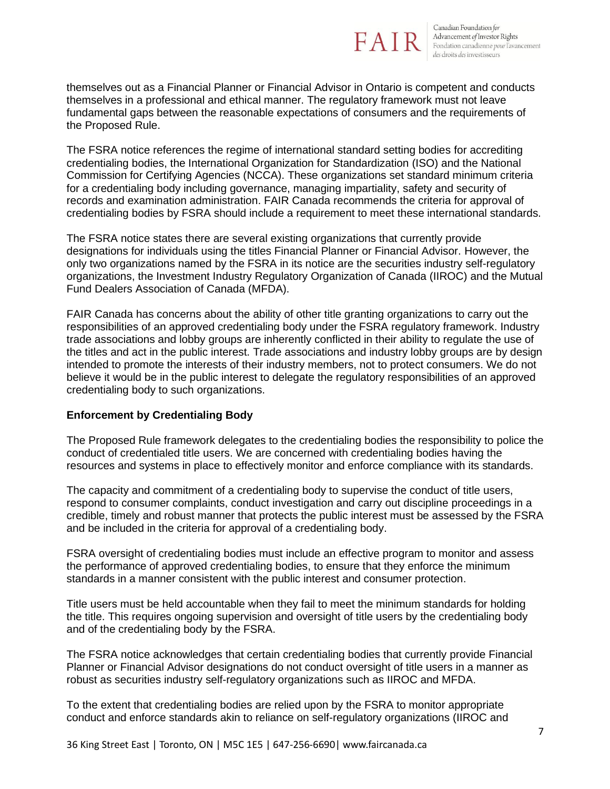

themselves out as a Financial Planner or Financial Advisor in Ontario is competent and conducts themselves in a professional and ethical manner. The regulatory framework must not leave fundamental gaps between the reasonable expectations of consumers and the requirements of the Proposed Rule.

The FSRA notice references the regime of international standard setting bodies for accrediting credentialing bodies, the International Organization for Standardization (ISO) and the National Commission for Certifying Agencies (NCCA). These organizations set standard minimum criteria for a credentialing body including governance, managing impartiality, safety and security of records and examination administration. FAIR Canada recommends the criteria for approval of credentialing bodies by FSRA should include a requirement to meet these international standards.

The FSRA notice states there are several existing organizations that currently provide designations for individuals using the titles Financial Planner or Financial Advisor. However, the only two organizations named by the FSRA in its notice are the securities industry self-regulatory organizations, the Investment Industry Regulatory Organization of Canada (IIROC) and the Mutual Fund Dealers Association of Canada (MFDA).

FAIR Canada has concerns about the ability of other title granting organizations to carry out the responsibilities of an approved credentialing body under the FSRA regulatory framework. Industry trade associations and lobby groups are inherently conflicted in their ability to regulate the use of the titles and act in the public interest. Trade associations and industry lobby groups are by design intended to promote the interests of their industry members, not to protect consumers. We do not believe it would be in the public interest to delegate the regulatory responsibilities of an approved credentialing body to such organizations.

# **Enforcement by Credentialing Body**

The Proposed Rule framework delegates to the credentialing bodies the responsibility to police the conduct of credentialed title users. We are concerned with credentialing bodies having the resources and systems in place to effectively monitor and enforce compliance with its standards.

The capacity and commitment of a credentialing body to supervise the conduct of title users, respond to consumer complaints, conduct investigation and carry out discipline proceedings in a credible, timely and robust manner that protects the public interest must be assessed by the FSRA and be included in the criteria for approval of a credentialing body.

FSRA oversight of credentialing bodies must include an effective program to monitor and assess the performance of approved credentialing bodies, to ensure that they enforce the minimum standards in a manner consistent with the public interest and consumer protection.

Title users must be held accountable when they fail to meet the minimum standards for holding the title. This requires ongoing supervision and oversight of title users by the credentialing body and of the credentialing body by the FSRA.

The FSRA notice acknowledges that certain credentialing bodies that currently provide Financial Planner or Financial Advisor designations do not conduct oversight of title users in a manner as robust as securities industry self-regulatory organizations such as IIROC and MFDA.

To the extent that credentialing bodies are relied upon by the FSRA to monitor appropriate conduct and enforce standards akin to reliance on self-regulatory organizations (IIROC and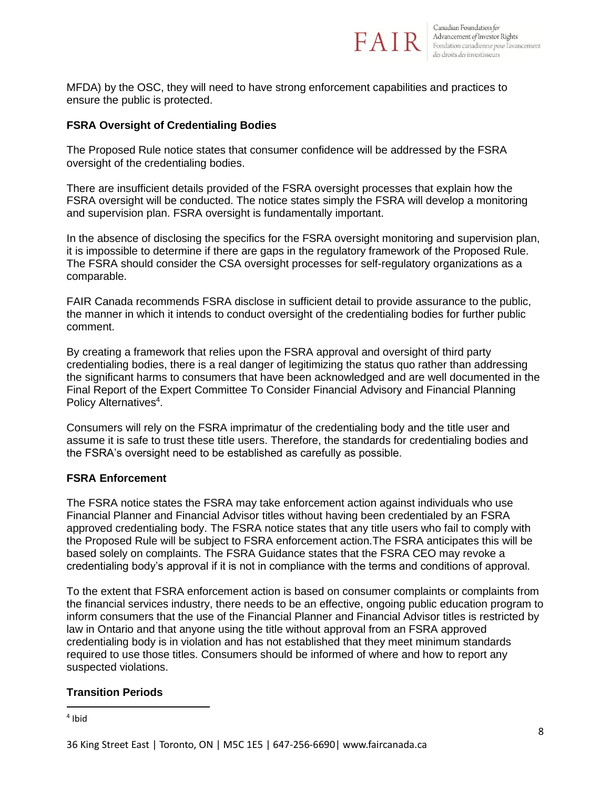

MFDA) by the OSC, they will need to have strong enforcement capabilities and practices to ensure the public is protected.

# **FSRA Oversight of Credentialing Bodies**

The Proposed Rule notice states that consumer confidence will be addressed by the FSRA oversight of the credentialing bodies.

There are insufficient details provided of the FSRA oversight processes that explain how the FSRA oversight will be conducted. The notice states simply the FSRA will develop a monitoring and supervision plan. FSRA oversight is fundamentally important.

In the absence of disclosing the specifics for the FSRA oversight monitoring and supervision plan, it is impossible to determine if there are gaps in the regulatory framework of the Proposed Rule. The FSRA should consider the CSA oversight processes for self-regulatory organizations as a comparable.

FAIR Canada recommends FSRA disclose in sufficient detail to provide assurance to the public, the manner in which it intends to conduct oversight of the credentialing bodies for further public comment.

By creating a framework that relies upon the FSRA approval and oversight of third party credentialing bodies, there is a real danger of legitimizing the status quo rather than addressing the significant harms to consumers that have been acknowledged and are well documented in the Final Report of the Expert Committee To Consider Financial Advisory and Financial Planning Policy Alternatives<sup>4</sup>.

Consumers will rely on the FSRA imprimatur of the credentialing body and the title user and assume it is safe to trust these title users. Therefore, the standards for credentialing bodies and the FSRA's oversight need to be established as carefully as possible.

# **FSRA Enforcement**

The FSRA notice states the FSRA may take enforcement action against individuals who use Financial Planner and Financial Advisor titles without having been credentialed by an FSRA approved credentialing body. The FSRA notice states that any title users who fail to comply with the Proposed Rule will be subject to FSRA enforcement action.The FSRA anticipates this will be based solely on complaints. The FSRA Guidance states that the FSRA CEO may revoke a credentialing body's approval if it is not in compliance with the terms and conditions of approval.

To the extent that FSRA enforcement action is based on consumer complaints or complaints from the financial services industry, there needs to be an effective, ongoing public education program to inform consumers that the use of the Financial Planner and Financial Advisor titles is restricted by law in Ontario and that anyone using the title without approval from an FSRA approved credentialing body is in violation and has not established that they meet minimum standards required to use those titles. Consumers should be informed of where and how to report any suspected violations.

# **Transition Periods**

4 Ibid